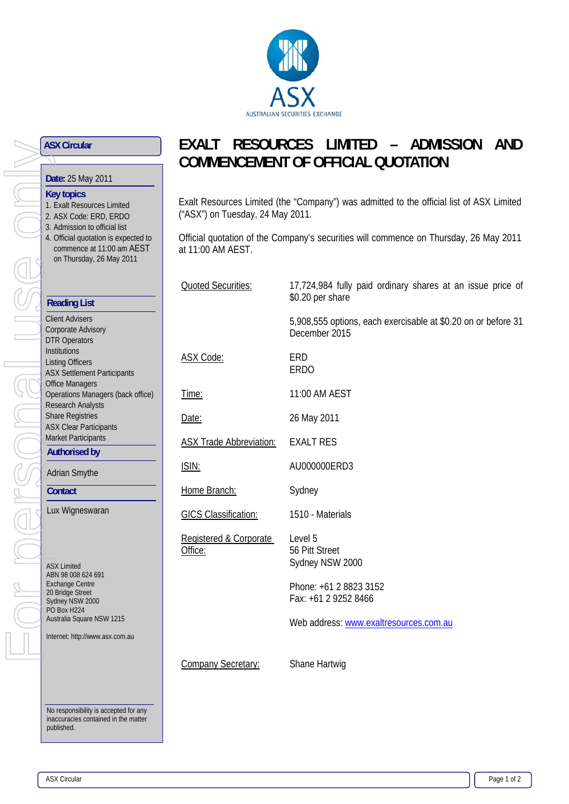

**ASX Circular**

**Date:** 25 May 2011

## **Key topics**

- 1. Exalt Resources Limited
- 2. ASX Code: ERD, ERDO
- 3. Admission to official list
- 4. Official quotation is expected to commence at 11:00 am AEST on Thursday, 26 May 2011

## **Reading List**

| <b>Client Advisers</b>             |
|------------------------------------|
| Corporate Advisory                 |
| <b>DTR Operators</b>               |
| Institutions                       |
| Listing Officers                   |
| <b>ASX Settlement Participants</b> |
| <b>Office Managers</b>             |
| Operations Managers (back office)  |
| <b>Research Analysts</b>           |
| <b>Share Registries</b>            |
| <b>ASX Clear Participants</b>      |
| Market Participants                |
| <b>Authorised by</b>               |
| <b>Adrian Smythe</b>               |

**Contact**

Lux Wigneswaran

ASX Limited ABN 98 008 624 691 Exchange Centre 20 Bridge Street Sydney NSW 2000 PO Box H<sub>224</sub> Australia Square NSW 1215

Internet: http://www.asx.com.au

## **EXALT RESOURCES LIMITED – ADMISSION AND COMMENCEMENT OF OFFICIAL QUOTATION**

Exalt Resources Limited (the "Company") was admitted to the official list of ASX Limited ("ASX") on Tuesday, 24 May 2011.

Official quotation of the Company's securities will commence on Thursday, 26 May 2011 at 11:00 AM AEST.

| 17,724,984 fully paid ordinary shares at an issue price of<br>\$0.20 per share |
|--------------------------------------------------------------------------------|
| 5,908,555 options, each exercisable at \$0.20 on or before 31<br>December 2015 |
| <b>ERD</b><br><b>ERDO</b>                                                      |
| 11:00 AM AEST                                                                  |
| 26 May 2011                                                                    |
| <b>EXALT RES</b>                                                               |
| AU000000ERD3                                                                   |
| Sydney                                                                         |
| 1510 - Materials                                                               |
| Level 5<br>56 Pitt Street<br>Sydney NSW 2000                                   |
| Phone: +61 2 8823 3152<br>Fax: +61 2 9252 8466                                 |
| Web address: www.exaltresources.com.au                                         |
| Shane Hartwig                                                                  |
|                                                                                |

No responsibility is accepted for any inaccuracies contained in the matter published.